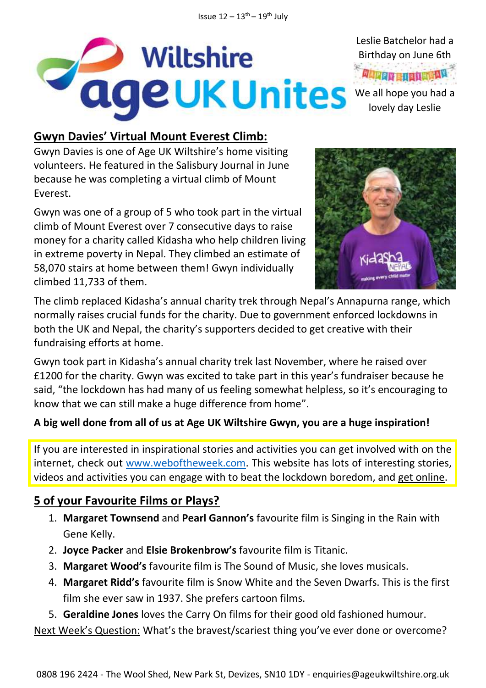

**Gwyn Davies' Virtual Mount Everest Climb:**

Gwyn Davies is one of Age UK Wiltshire's home visiting volunteers. He featured in the Salisbury Journal in June because he was completing a virtual climb of Mount Everest.

Gwyn was one of a group of 5 who took part in the virtual climb of Mount Everest over 7 consecutive days to raise money for a charity called Kidasha who help children living in extreme poverty in Nepal. They climbed an estimate of 58,070 stairs at home between them! Gwyn individually climbed 11,733 of them.



Birthday on June 6th

lovely day Leslie

The climb replaced Kidasha's annual charity trek through Nepal's Annapurna range, which normally raises crucial funds for the charity. Due to government enforced lockdowns in both the UK and Nepal, the charity's supporters decided to get creative with their fundraising efforts at home.

Gwyn took part in Kidasha's annual charity trek last November, where he raised over £1200 for the charity. Gwyn was excited to take part in this year's fundraiser because he said, "the lockdown has had many of us feeling somewhat helpless, so it's encouraging to know that we can still make a huge difference from home".

#### **A big well done from all of us at Age UK Wiltshire Gwyn, you are a huge inspiration!**

If you are interested in inspirational stories and activities you can get involved with on the internet, check out [www.weboftheweek.com.](http://www.weboftheweek.com/) This website has lots of interesting stories, videos and activities you can engage with to beat the lockdown boredom, and get online.

### **5 of your Favourite Films or Plays?**

- 1. **Margaret Townsend** and **Pearl Gannon's** favourite film is Singing in the Rain with Gene Kelly.
- 2. **Joyce Packer** and **Elsie Brokenbrow's** favourite film is Titanic.
- 3. **Margaret Wood's** favourite film is The Sound of Music, she loves musicals.
- 4. **Margaret Ridd's** favourite film is Snow White and the Seven Dwarfs. This is the first film she ever saw in 1937. She prefers cartoon films.
- 5. **Geraldine Jones** loves the Carry On films for their good old fashioned humour.

Next Week's Question: What's the bravest/scariest thing you've ever done or overcome?